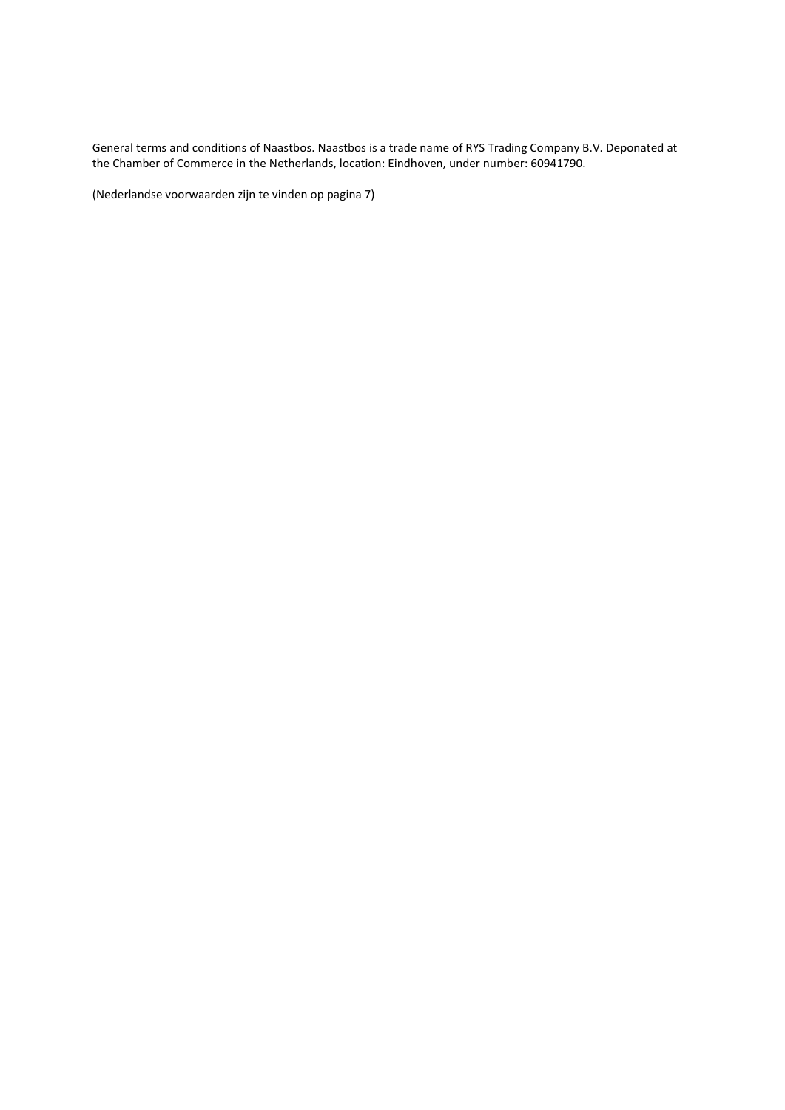General terms and conditions of Naastbos. Naastbos is a trade name of RYS Trading Company B.V. Deponated at the Chamber of Commerce in the Netherlands, location: Eindhoven, under number: 60941790.

(Nederlandse voorwaarden zijn te vinden op pagina 7)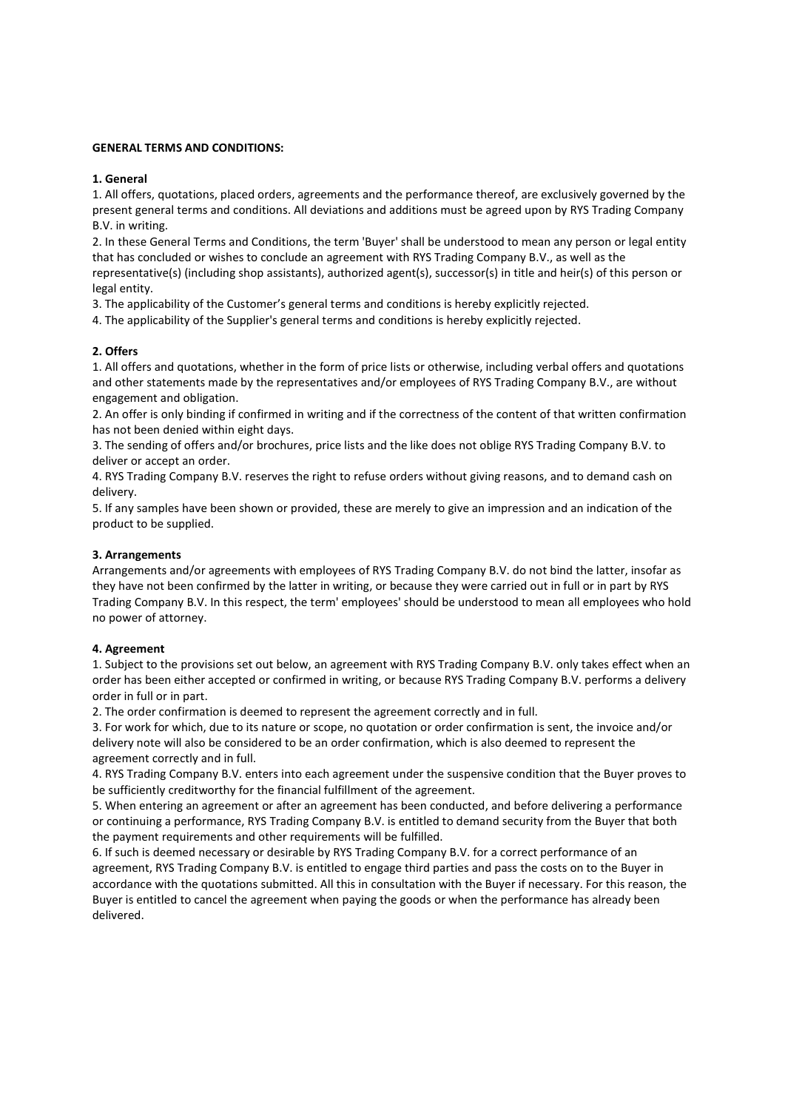# GENERAL TERMS AND CONDITIONS:

# 1. General

1. All offers, quotations, placed orders, agreements and the performance thereof, are exclusively governed by the present general terms and conditions. All deviations and additions must be agreed upon by RYS Trading Company B.V. in writing.

2. In these General Terms and Conditions, the term 'Buyer' shall be understood to mean any person or legal entity that has concluded or wishes to conclude an agreement with RYS Trading Company B.V., as well as the representative(s) (including shop assistants), authorized agent(s), successor(s) in title and heir(s) of this person or legal entity.

3. The applicability of the Customer's general terms and conditions is hereby explicitly rejected.

4. The applicability of the Supplier's general terms and conditions is hereby explicitly rejected.

# 2. Offers

1. All offers and quotations, whether in the form of price lists or otherwise, including verbal offers and quotations and other statements made by the representatives and/or employees of RYS Trading Company B.V., are without engagement and obligation.

2. An offer is only binding if confirmed in writing and if the correctness of the content of that written confirmation has not been denied within eight days.

3. The sending of offers and/or brochures, price lists and the like does not oblige RYS Trading Company B.V. to deliver or accept an order.

4. RYS Trading Company B.V. reserves the right to refuse orders without giving reasons, and to demand cash on delivery.

5. If any samples have been shown or provided, these are merely to give an impression and an indication of the product to be supplied.

# 3. Arrangements

Arrangements and/or agreements with employees of RYS Trading Company B.V. do not bind the latter, insofar as they have not been confirmed by the latter in writing, or because they were carried out in full or in part by RYS Trading Company B.V. In this respect, the term' employees' should be understood to mean all employees who hold no power of attorney.

# 4. Agreement

1. Subject to the provisions set out below, an agreement with RYS Trading Company B.V. only takes effect when an order has been either accepted or confirmed in writing, or because RYS Trading Company B.V. performs a delivery order in full or in part.

2. The order confirmation is deemed to represent the agreement correctly and in full.

3. For work for which, due to its nature or scope, no quotation or order confirmation is sent, the invoice and/or delivery note will also be considered to be an order confirmation, which is also deemed to represent the agreement correctly and in full.

4. RYS Trading Company B.V. enters into each agreement under the suspensive condition that the Buyer proves to be sufficiently creditworthy for the financial fulfillment of the agreement.

5. When entering an agreement or after an agreement has been conducted, and before delivering a performance or continuing a performance, RYS Trading Company B.V. is entitled to demand security from the Buyer that both the payment requirements and other requirements will be fulfilled.

6. If such is deemed necessary or desirable by RYS Trading Company B.V. for a correct performance of an agreement, RYS Trading Company B.V. is entitled to engage third parties and pass the costs on to the Buyer in accordance with the quotations submitted. All this in consultation with the Buyer if necessary. For this reason, the Buyer is entitled to cancel the agreement when paying the goods or when the performance has already been delivered.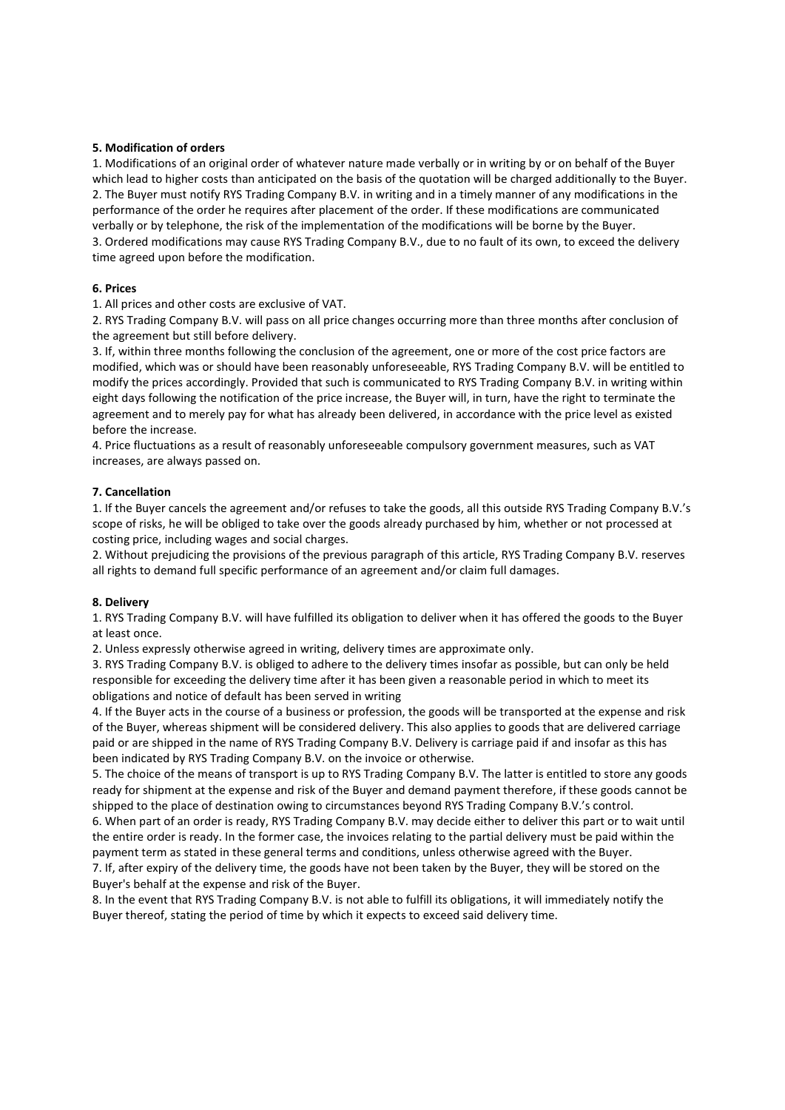# 5. Modification of orders

1. Modifications of an original order of whatever nature made verbally or in writing by or on behalf of the Buyer which lead to higher costs than anticipated on the basis of the quotation will be charged additionally to the Buyer. 2. The Buyer must notify RYS Trading Company B.V. in writing and in a timely manner of any modifications in the performance of the order he requires after placement of the order. If these modifications are communicated verbally or by telephone, the risk of the implementation of the modifications will be borne by the Buyer. 3. Ordered modifications may cause RYS Trading Company B.V., due to no fault of its own, to exceed the delivery time agreed upon before the modification.

# 6. Prices

1. All prices and other costs are exclusive of VAT.

2. RYS Trading Company B.V. will pass on all price changes occurring more than three months after conclusion of the agreement but still before delivery.

3. If, within three months following the conclusion of the agreement, one or more of the cost price factors are modified, which was or should have been reasonably unforeseeable, RYS Trading Company B.V. will be entitled to modify the prices accordingly. Provided that such is communicated to RYS Trading Company B.V. in writing within eight days following the notification of the price increase, the Buyer will, in turn, have the right to terminate the agreement and to merely pay for what has already been delivered, in accordance with the price level as existed before the increase.

4. Price fluctuations as a result of reasonably unforeseeable compulsory government measures, such as VAT increases, are always passed on.

# 7. Cancellation

1. If the Buyer cancels the agreement and/or refuses to take the goods, all this outside RYS Trading Company B.V.'s scope of risks, he will be obliged to take over the goods already purchased by him, whether or not processed at costing price, including wages and social charges.

2. Without prejudicing the provisions of the previous paragraph of this article, RYS Trading Company B.V. reserves all rights to demand full specific performance of an agreement and/or claim full damages.

# 8. Delivery

1. RYS Trading Company B.V. will have fulfilled its obligation to deliver when it has offered the goods to the Buyer at least once.

2. Unless expressly otherwise agreed in writing, delivery times are approximate only.

3. RYS Trading Company B.V. is obliged to adhere to the delivery times insofar as possible, but can only be held responsible for exceeding the delivery time after it has been given a reasonable period in which to meet its obligations and notice of default has been served in writing

4. If the Buyer acts in the course of a business or profession, the goods will be transported at the expense and risk of the Buyer, whereas shipment will be considered delivery. This also applies to goods that are delivered carriage paid or are shipped in the name of RYS Trading Company B.V. Delivery is carriage paid if and insofar as this has been indicated by RYS Trading Company B.V. on the invoice or otherwise.

5. The choice of the means of transport is up to RYS Trading Company B.V. The latter is entitled to store any goods ready for shipment at the expense and risk of the Buyer and demand payment therefore, if these goods cannot be shipped to the place of destination owing to circumstances beyond RYS Trading Company B.V.'s control.

6. When part of an order is ready, RYS Trading Company B.V. may decide either to deliver this part or to wait until the entire order is ready. In the former case, the invoices relating to the partial delivery must be paid within the payment term as stated in these general terms and conditions, unless otherwise agreed with the Buyer.

7. If, after expiry of the delivery time, the goods have not been taken by the Buyer, they will be stored on the Buyer's behalf at the expense and risk of the Buyer.

8. In the event that RYS Trading Company B.V. is not able to fulfill its obligations, it will immediately notify the Buyer thereof, stating the period of time by which it expects to exceed said delivery time.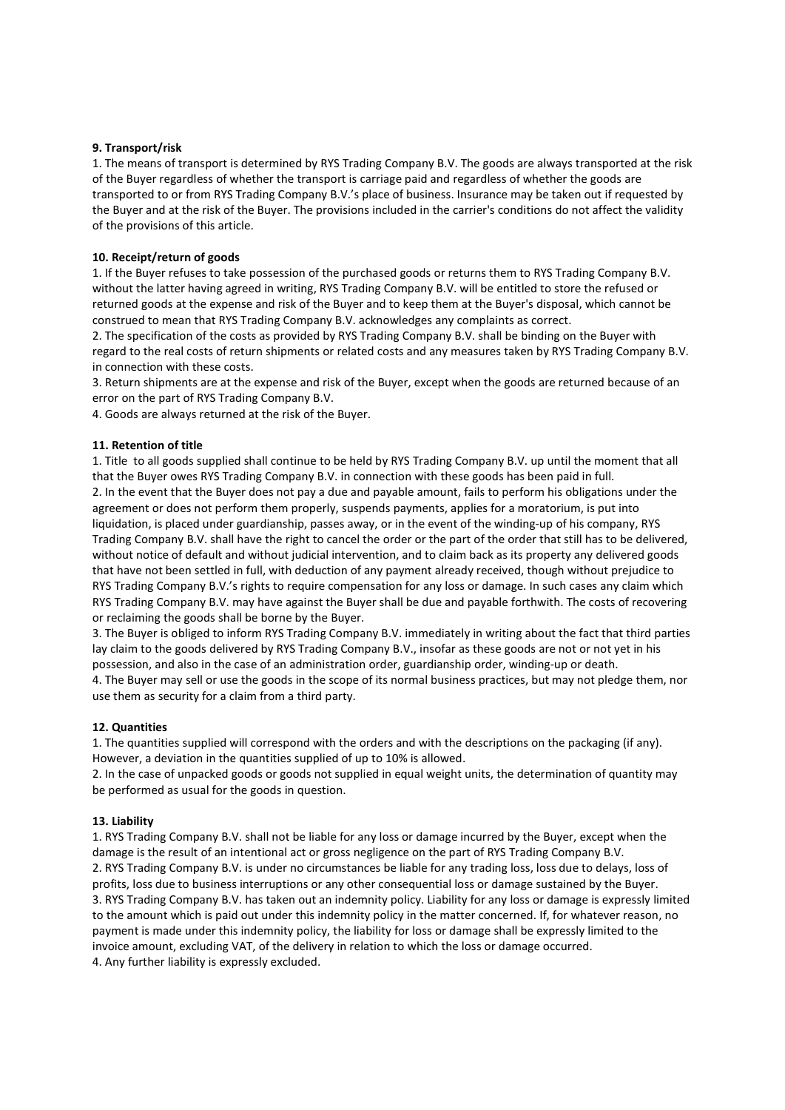# 9. Transport/risk

1. The means of transport is determined by RYS Trading Company B.V. The goods are always transported at the risk of the Buyer regardless of whether the transport is carriage paid and regardless of whether the goods are transported to or from RYS Trading Company B.V.'s place of business. Insurance may be taken out if requested by the Buyer and at the risk of the Buyer. The provisions included in the carrier's conditions do not affect the validity of the provisions of this article.

### 10. Receipt/return of goods

1. If the Buyer refuses to take possession of the purchased goods or returns them to RYS Trading Company B.V. without the latter having agreed in writing, RYS Trading Company B.V. will be entitled to store the refused or returned goods at the expense and risk of the Buyer and to keep them at the Buyer's disposal, which cannot be construed to mean that RYS Trading Company B.V. acknowledges any complaints as correct.

2. The specification of the costs as provided by RYS Trading Company B.V. shall be binding on the Buyer with regard to the real costs of return shipments or related costs and any measures taken by RYS Trading Company B.V. in connection with these costs.

3. Return shipments are at the expense and risk of the Buyer, except when the goods are returned because of an error on the part of RYS Trading Company B.V.

4. Goods are always returned at the risk of the Buyer.

### 11. Retention of title

1. Title to all goods supplied shall continue to be held by RYS Trading Company B.V. up until the moment that all that the Buyer owes RYS Trading Company B.V. in connection with these goods has been paid in full. 2. In the event that the Buyer does not pay a due and payable amount, fails to perform his obligations under the agreement or does not perform them properly, suspends payments, applies for a moratorium, is put into liquidation, is placed under guardianship, passes away, or in the event of the winding-up of his company, RYS Trading Company B.V. shall have the right to cancel the order or the part of the order that still has to be delivered, without notice of default and without judicial intervention, and to claim back as its property any delivered goods that have not been settled in full, with deduction of any payment already received, though without prejudice to RYS Trading Company B.V.'s rights to require compensation for any loss or damage. In such cases any claim which RYS Trading Company B.V. may have against the Buyer shall be due and payable forthwith. The costs of recovering or reclaiming the goods shall be borne by the Buyer.

3. The Buyer is obliged to inform RYS Trading Company B.V. immediately in writing about the fact that third parties lay claim to the goods delivered by RYS Trading Company B.V., insofar as these goods are not or not yet in his possession, and also in the case of an administration order, guardianship order, winding-up or death. 4. The Buyer may sell or use the goods in the scope of its normal business practices, but may not pledge them, nor use them as security for a claim from a third party.

#### 12. Quantities

1. The quantities supplied will correspond with the orders and with the descriptions on the packaging (if any). However, a deviation in the quantities supplied of up to 10% is allowed.

2. In the case of unpacked goods or goods not supplied in equal weight units, the determination of quantity may be performed as usual for the goods in question.

#### 13. Liability

1. RYS Trading Company B.V. shall not be liable for any loss or damage incurred by the Buyer, except when the damage is the result of an intentional act or gross negligence on the part of RYS Trading Company B.V. 2. RYS Trading Company B.V. is under no circumstances be liable for any trading loss, loss due to delays, loss of profits, loss due to business interruptions or any other consequential loss or damage sustained by the Buyer. 3. RYS Trading Company B.V. has taken out an indemnity policy. Liability for any loss or damage is expressly limited to the amount which is paid out under this indemnity policy in the matter concerned. If, for whatever reason, no payment is made under this indemnity policy, the liability for loss or damage shall be expressly limited to the invoice amount, excluding VAT, of the delivery in relation to which the loss or damage occurred. 4. Any further liability is expressly excluded.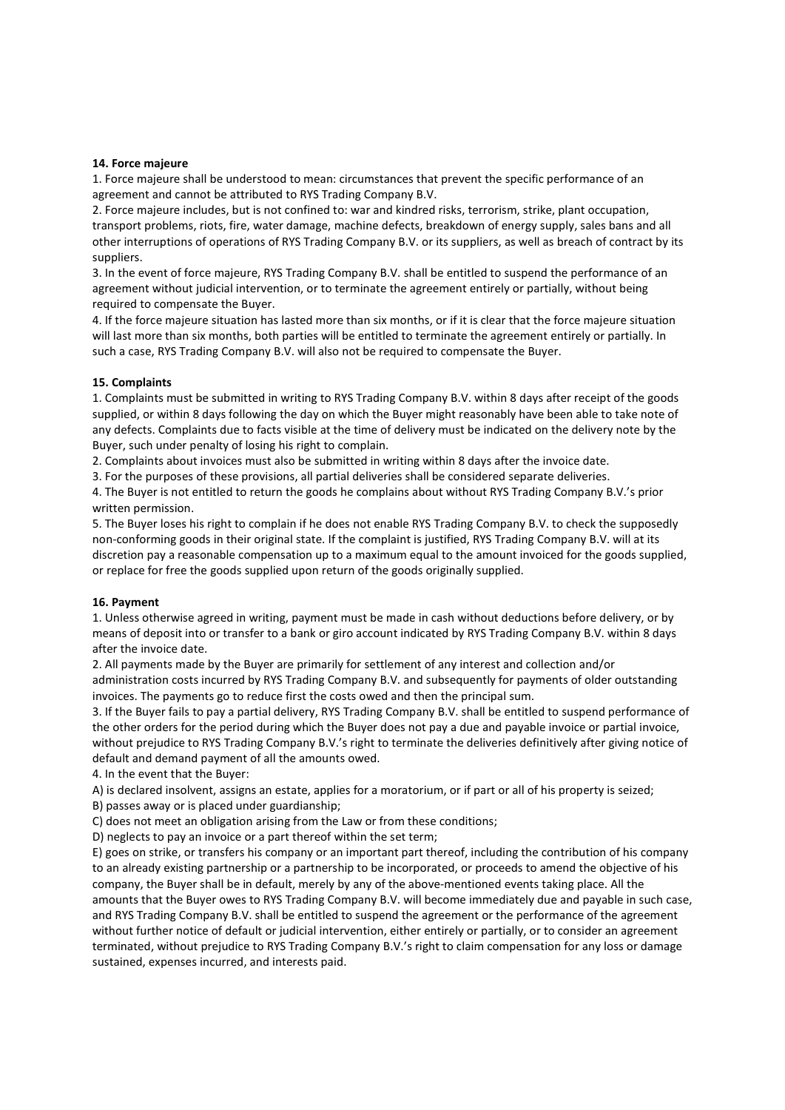### 14. Force majeure

1. Force majeure shall be understood to mean: circumstances that prevent the specific performance of an agreement and cannot be attributed to RYS Trading Company B.V.

2. Force majeure includes, but is not confined to: war and kindred risks, terrorism, strike, plant occupation, transport problems, riots, fire, water damage, machine defects, breakdown of energy supply, sales bans and all other interruptions of operations of RYS Trading Company B.V. or its suppliers, as well as breach of contract by its suppliers.

3. In the event of force majeure, RYS Trading Company B.V. shall be entitled to suspend the performance of an agreement without judicial intervention, or to terminate the agreement entirely or partially, without being required to compensate the Buyer.

4. If the force majeure situation has lasted more than six months, or if it is clear that the force majeure situation will last more than six months, both parties will be entitled to terminate the agreement entirely or partially. In such a case, RYS Trading Company B.V. will also not be required to compensate the Buyer.

# 15. Complaints

1. Complaints must be submitted in writing to RYS Trading Company B.V. within 8 days after receipt of the goods supplied, or within 8 days following the day on which the Buyer might reasonably have been able to take note of any defects. Complaints due to facts visible at the time of delivery must be indicated on the delivery note by the Buyer, such under penalty of losing his right to complain.

2. Complaints about invoices must also be submitted in writing within 8 days after the invoice date.

3. For the purposes of these provisions, all partial deliveries shall be considered separate deliveries.

4. The Buyer is not entitled to return the goods he complains about without RYS Trading Company B.V.'s prior written permission.

5. The Buyer loses his right to complain if he does not enable RYS Trading Company B.V. to check the supposedly non-conforming goods in their original state. If the complaint is justified, RYS Trading Company B.V. will at its discretion pay a reasonable compensation up to a maximum equal to the amount invoiced for the goods supplied, or replace for free the goods supplied upon return of the goods originally supplied.

# 16. Payment

1. Unless otherwise agreed in writing, payment must be made in cash without deductions before delivery, or by means of deposit into or transfer to a bank or giro account indicated by RYS Trading Company B.V. within 8 days after the invoice date.

2. All payments made by the Buyer are primarily for settlement of any interest and collection and/or administration costs incurred by RYS Trading Company B.V. and subsequently for payments of older outstanding invoices. The payments go to reduce first the costs owed and then the principal sum.

3. If the Buyer fails to pay a partial delivery, RYS Trading Company B.V. shall be entitled to suspend performance of the other orders for the period during which the Buyer does not pay a due and payable invoice or partial invoice, without prejudice to RYS Trading Company B.V.'s right to terminate the deliveries definitively after giving notice of default and demand payment of all the amounts owed.

4. In the event that the Buyer:

A) is declared insolvent, assigns an estate, applies for a moratorium, or if part or all of his property is seized;

B) passes away or is placed under guardianship;

C) does not meet an obligation arising from the Law or from these conditions;

D) neglects to pay an invoice or a part thereof within the set term;

E) goes on strike, or transfers his company or an important part thereof, including the contribution of his company to an already existing partnership or a partnership to be incorporated, or proceeds to amend the objective of his company, the Buyer shall be in default, merely by any of the above-mentioned events taking place. All the amounts that the Buyer owes to RYS Trading Company B.V. will become immediately due and payable in such case, and RYS Trading Company B.V. shall be entitled to suspend the agreement or the performance of the agreement without further notice of default or judicial intervention, either entirely or partially, or to consider an agreement terminated, without prejudice to RYS Trading Company B.V.'s right to claim compensation for any loss or damage sustained, expenses incurred, and interests paid.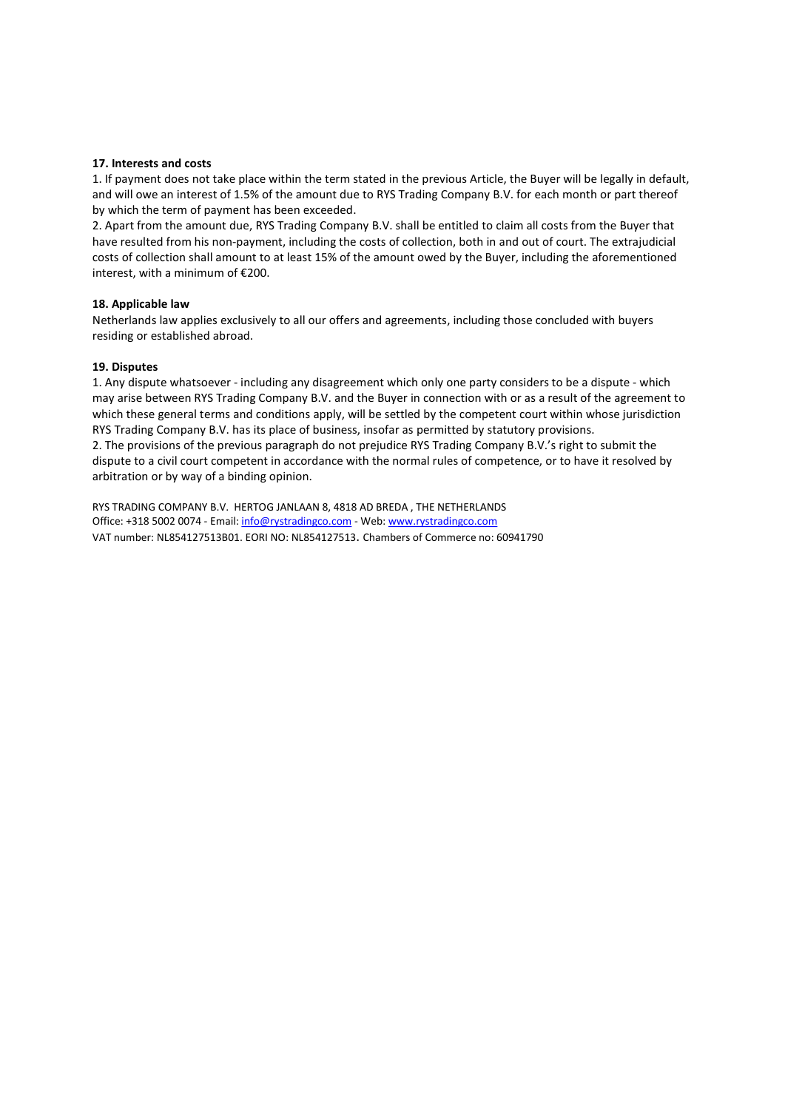# 17. Interests and costs

1. If payment does not take place within the term stated in the previous Article, the Buyer will be legally in default, and will owe an interest of 1.5% of the amount due to RYS Trading Company B.V. for each month or part thereof by which the term of payment has been exceeded.

2. Apart from the amount due, RYS Trading Company B.V. shall be entitled to claim all costs from the Buyer that have resulted from his non-payment, including the costs of collection, both in and out of court. The extrajudicial costs of collection shall amount to at least 15% of the amount owed by the Buyer, including the aforementioned interest, with a minimum of €200.

### 18. Applicable law

Netherlands law applies exclusively to all our offers and agreements, including those concluded with buyers residing or established abroad.

# 19. Disputes

1. Any dispute whatsoever - including any disagreement which only one party considers to be a dispute - which may arise between RYS Trading Company B.V. and the Buyer in connection with or as a result of the agreement to which these general terms and conditions apply, will be settled by the competent court within whose jurisdiction RYS Trading Company B.V. has its place of business, insofar as permitted by statutory provisions. 2. The provisions of the previous paragraph do not prejudice RYS Trading Company B.V.'s right to submit the dispute to a civil court competent in accordance with the normal rules of competence, or to have it resolved by arbitration or by way of a binding opinion.

RYS TRADING COMPANY B.V. HERTOG JANLAAN 8, 4818 AD BREDA , THE NETHERLANDS Office: +318 5002 0074 - Email: info@rystradingco.com - Web: www.rystradingco.com VAT number: NL854127513B01. EORI NO: NL854127513. Chambers of Commerce no: 60941790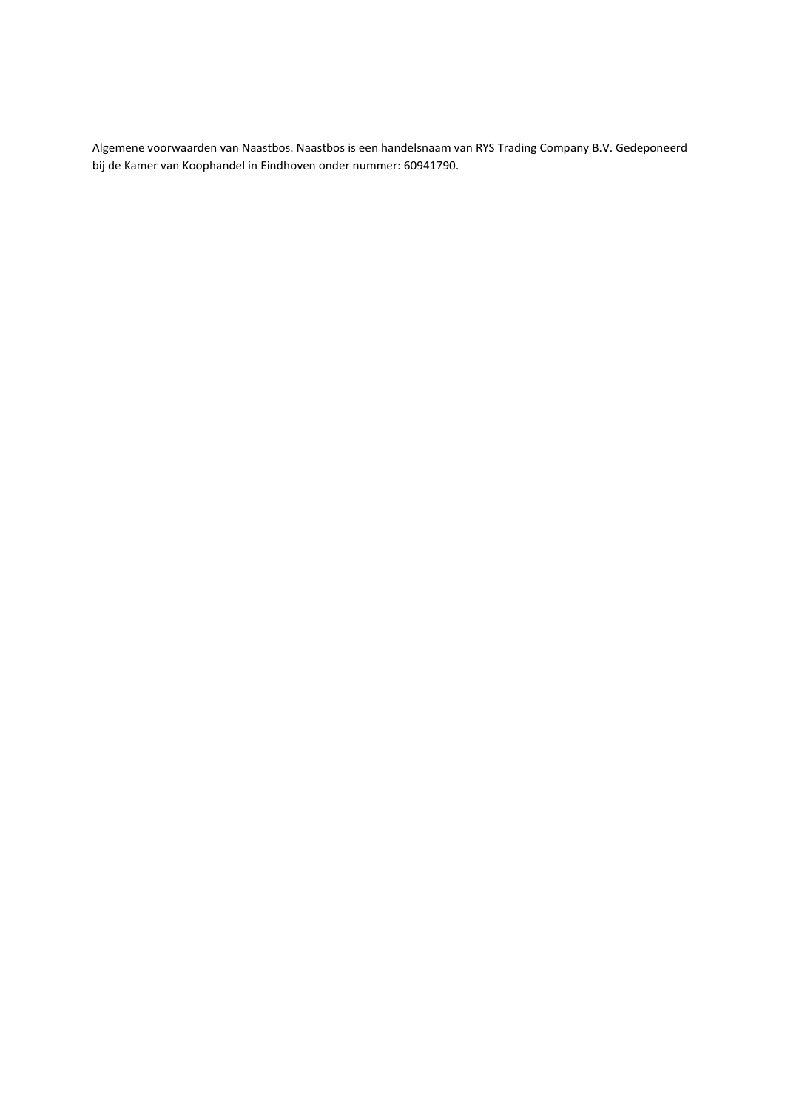Algemene voorwaarden van Naastbos. Naastbos is een handelsnaam van RYS Trading Company B.V. Gedeponeerd bij de Kamer van Koophandel in Eindhoven onder nummer: 60941790.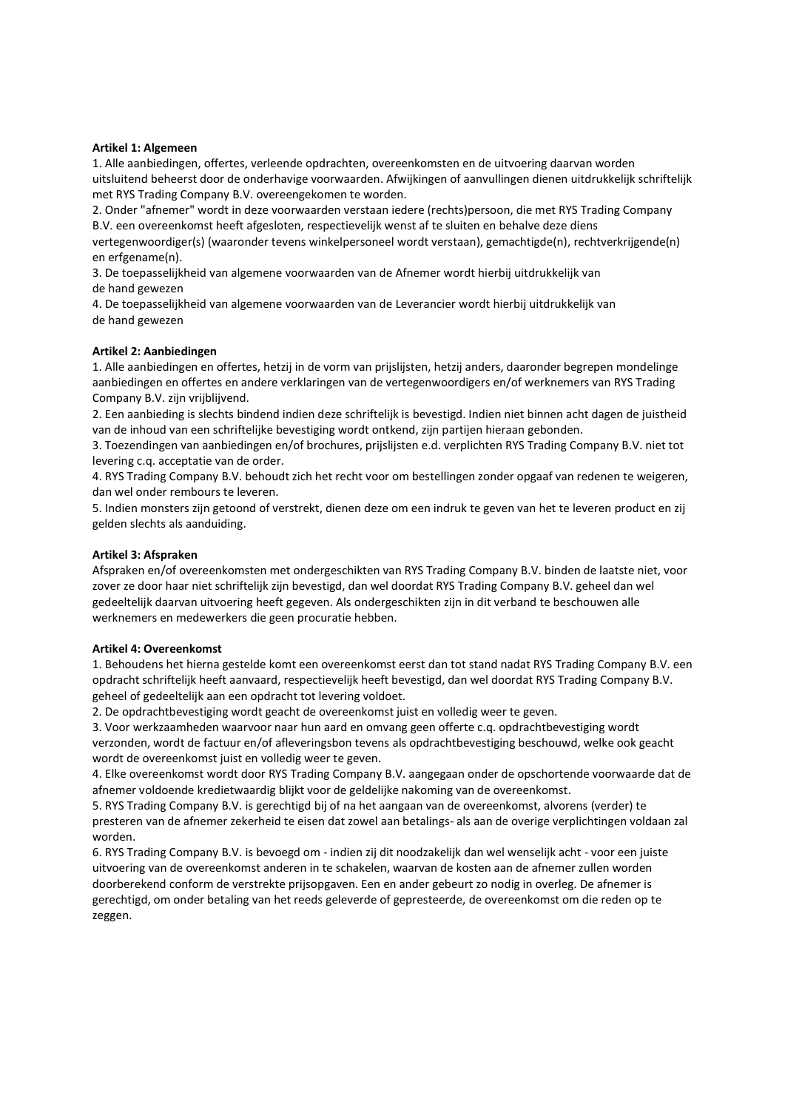### Artikel 1: Algemeen

1. Alle aanbiedingen, offertes, verleende opdrachten, overeenkomsten en de uitvoering daarvan worden uitsluitend beheerst door de onderhavige voorwaarden. Afwijkingen of aanvullingen dienen uitdrukkelijk schriftelijk met RYS Trading Company B.V. overeengekomen te worden.

2. Onder "afnemer" wordt in deze voorwaarden verstaan iedere (rechts)persoon, die met RYS Trading Company B.V. een overeenkomst heeft afgesloten, respectievelijk wenst af te sluiten en behalve deze diens vertegenwoordiger(s) (waaronder tevens winkelpersoneel wordt verstaan), gemachtigde(n), rechtverkrijgende(n)

en erfgename(n). 3. De toepasselijkheid van algemene voorwaarden van de Afnemer wordt hierbij uitdrukkelijk van de hand gewezen

4. De toepasselijkheid van algemene voorwaarden van de Leverancier wordt hierbij uitdrukkelijk van de hand gewezen

### Artikel 2: Aanbiedingen

1. Alle aanbiedingen en offertes, hetzij in de vorm van prijslijsten, hetzij anders, daaronder begrepen mondelinge aanbiedingen en offertes en andere verklaringen van de vertegenwoordigers en/of werknemers van RYS Trading Company B.V. zijn vrijblijvend.

2. Een aanbieding is slechts bindend indien deze schriftelijk is bevestigd. Indien niet binnen acht dagen de juistheid van de inhoud van een schriftelijke bevestiging wordt ontkend, zijn partijen hieraan gebonden.

3. Toezendingen van aanbiedingen en/of brochures, prijslijsten e.d. verplichten RYS Trading Company B.V. niet tot levering c.q. acceptatie van de order.

4. RYS Trading Company B.V. behoudt zich het recht voor om bestellingen zonder opgaaf van redenen te weigeren, dan wel onder rembours te leveren.

5. Indien monsters zijn getoond of verstrekt, dienen deze om een indruk te geven van het te leveren product en zij gelden slechts als aanduiding.

### Artikel 3: Afspraken

Afspraken en/of overeenkomsten met ondergeschikten van RYS Trading Company B.V. binden de laatste niet, voor zover ze door haar niet schriftelijk zijn bevestigd, dan wel doordat RYS Trading Company B.V. geheel dan wel gedeeltelijk daarvan uitvoering heeft gegeven. Als ondergeschikten zijn in dit verband te beschouwen alle werknemers en medewerkers die geen procuratie hebben.

#### Artikel 4: Overeenkomst

1. Behoudens het hierna gestelde komt een overeenkomst eerst dan tot stand nadat RYS Trading Company B.V. een opdracht schriftelijk heeft aanvaard, respectievelijk heeft bevestigd, dan wel doordat RYS Trading Company B.V. geheel of gedeeltelijk aan een opdracht tot levering voldoet.

2. De opdrachtbevestiging wordt geacht de overeenkomst juist en volledig weer te geven.

3. Voor werkzaamheden waarvoor naar hun aard en omvang geen offerte c.q. opdrachtbevestiging wordt verzonden, wordt de factuur en/of afleveringsbon tevens als opdrachtbevestiging beschouwd, welke ook geacht wordt de overeenkomst juist en volledig weer te geven.

4. Elke overeenkomst wordt door RYS Trading Company B.V. aangegaan onder de opschortende voorwaarde dat de afnemer voldoende kredietwaardig blijkt voor de geldelijke nakoming van de overeenkomst.

5. RYS Trading Company B.V. is gerechtigd bij of na het aangaan van de overeenkomst, alvorens (verder) te presteren van de afnemer zekerheid te eisen dat zowel aan betalings- als aan de overige verplichtingen voldaan zal worden.

6. RYS Trading Company B.V. is bevoegd om - indien zij dit noodzakelijk dan wel wenselijk acht - voor een juiste uitvoering van de overeenkomst anderen in te schakelen, waarvan de kosten aan de afnemer zullen worden doorberekend conform de verstrekte prijsopgaven. Een en ander gebeurt zo nodig in overleg. De afnemer is gerechtigd, om onder betaling van het reeds geleverde of gepresteerde, de overeenkomst om die reden op te zeggen.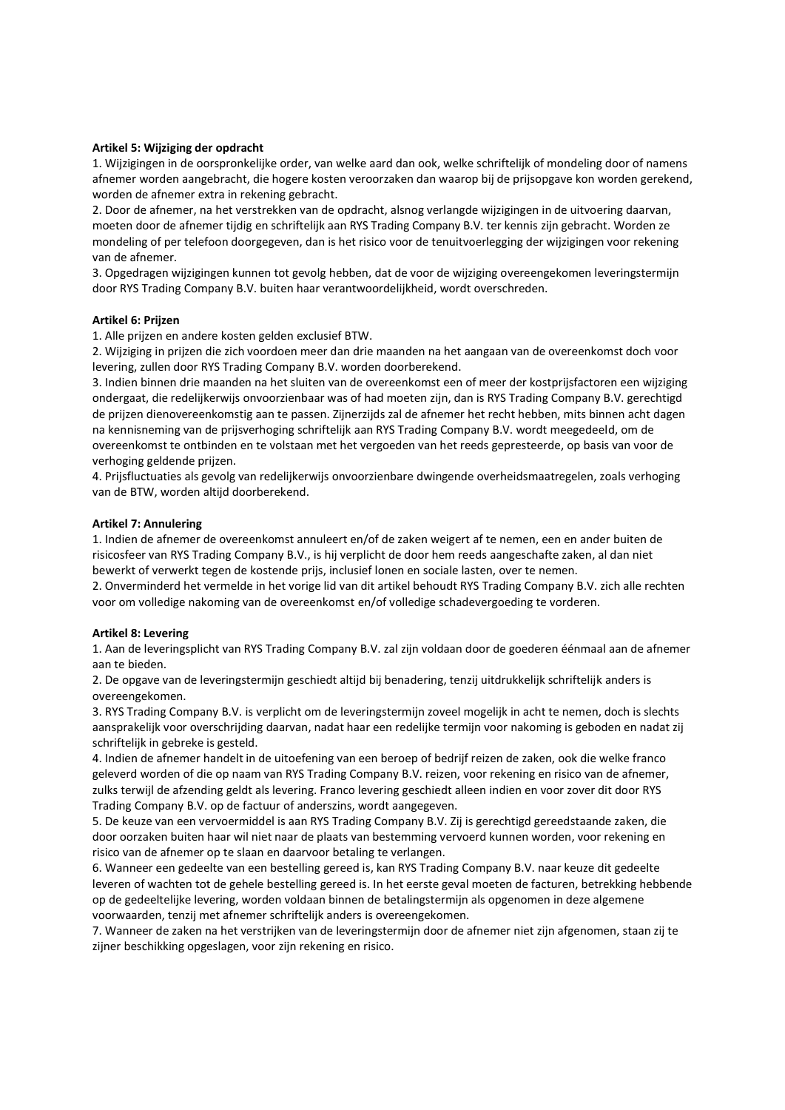# Artikel 5: Wijziging der opdracht

1. Wijzigingen in de oorspronkelijke order, van welke aard dan ook, welke schriftelijk of mondeling door of namens afnemer worden aangebracht, die hogere kosten veroorzaken dan waarop bij de prijsopgave kon worden gerekend, worden de afnemer extra in rekening gebracht.

2. Door de afnemer, na het verstrekken van de opdracht, alsnog verlangde wijzigingen in de uitvoering daarvan, moeten door de afnemer tijdig en schriftelijk aan RYS Trading Company B.V. ter kennis zijn gebracht. Worden ze mondeling of per telefoon doorgegeven, dan is het risico voor de tenuitvoerlegging der wijzigingen voor rekening van de afnemer.

3. Opgedragen wijzigingen kunnen tot gevolg hebben, dat de voor de wijziging overeengekomen leveringstermijn door RYS Trading Company B.V. buiten haar verantwoordelijkheid, wordt overschreden.

#### Artikel 6: Prijzen

1. Alle prijzen en andere kosten gelden exclusief BTW.

2. Wijziging in prijzen die zich voordoen meer dan drie maanden na het aangaan van de overeenkomst doch voor levering, zullen door RYS Trading Company B.V. worden doorberekend.

3. Indien binnen drie maanden na het sluiten van de overeenkomst een of meer der kostprijsfactoren een wijziging ondergaat, die redelijkerwijs onvoorzienbaar was of had moeten zijn, dan is RYS Trading Company B.V. gerechtigd de prijzen dienovereenkomstig aan te passen. Zijnerzijds zal de afnemer het recht hebben, mits binnen acht dagen na kennisneming van de prijsverhoging schriftelijk aan RYS Trading Company B.V. wordt meegedeeld, om de overeenkomst te ontbinden en te volstaan met het vergoeden van het reeds gepresteerde, op basis van voor de verhoging geldende prijzen.

4. Prijsfluctuaties als gevolg van redelijkerwijs onvoorzienbare dwingende overheidsmaatregelen, zoals verhoging van de BTW, worden altijd doorberekend.

#### Artikel 7: Annulering

1. Indien de afnemer de overeenkomst annuleert en/of de zaken weigert af te nemen, een en ander buiten de risicosfeer van RYS Trading Company B.V., is hij verplicht de door hem reeds aangeschafte zaken, al dan niet bewerkt of verwerkt tegen de kostende prijs, inclusief lonen en sociale lasten, over te nemen.

2. Onverminderd het vermelde in het vorige lid van dit artikel behoudt RYS Trading Company B.V. zich alle rechten voor om volledige nakoming van de overeenkomst en/of volledige schadevergoeding te vorderen.

#### Artikel 8: Levering

1. Aan de leveringsplicht van RYS Trading Company B.V. zal zijn voldaan door de goederen éénmaal aan de afnemer aan te bieden.

2. De opgave van de leveringstermijn geschiedt altijd bij benadering, tenzij uitdrukkelijk schriftelijk anders is overeengekomen.

3. RYS Trading Company B.V. is verplicht om de leveringstermijn zoveel mogelijk in acht te nemen, doch is slechts aansprakelijk voor overschrijding daarvan, nadat haar een redelijke termijn voor nakoming is geboden en nadat zij schriftelijk in gebreke is gesteld.

4. Indien de afnemer handelt in de uitoefening van een beroep of bedrijf reizen de zaken, ook die welke franco geleverd worden of die op naam van RYS Trading Company B.V. reizen, voor rekening en risico van de afnemer, zulks terwijl de afzending geldt als levering. Franco levering geschiedt alleen indien en voor zover dit door RYS Trading Company B.V. op de factuur of anderszins, wordt aangegeven.

5. De keuze van een vervoermiddel is aan RYS Trading Company B.V. Zij is gerechtigd gereedstaande zaken, die door oorzaken buiten haar wil niet naar de plaats van bestemming vervoerd kunnen worden, voor rekening en risico van de afnemer op te slaan en daarvoor betaling te verlangen.

6. Wanneer een gedeelte van een bestelling gereed is, kan RYS Trading Company B.V. naar keuze dit gedeelte leveren of wachten tot de gehele bestelling gereed is. In het eerste geval moeten de facturen, betrekking hebbende op de gedeeltelijke levering, worden voldaan binnen de betalingstermijn als opgenomen in deze algemene voorwaarden, tenzij met afnemer schriftelijk anders is overeengekomen.

7. Wanneer de zaken na het verstrijken van de leveringstermijn door de afnemer niet zijn afgenomen, staan zij te zijner beschikking opgeslagen, voor zijn rekening en risico.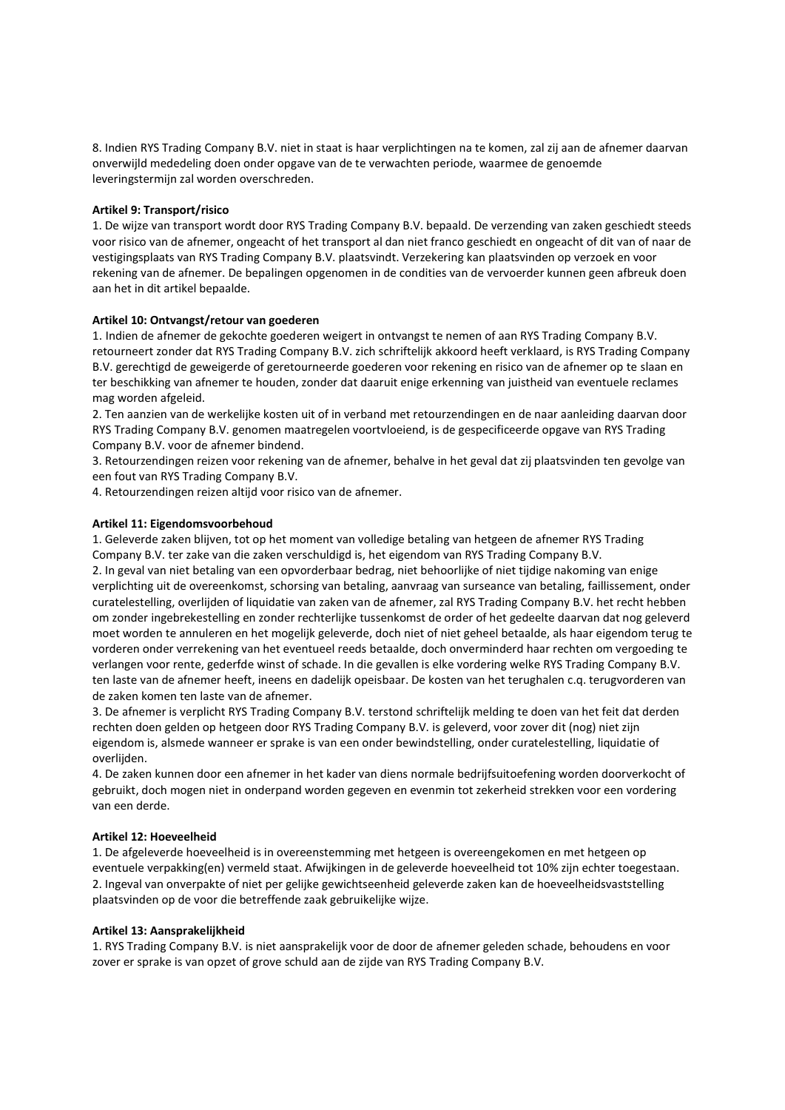8. Indien RYS Trading Company B.V. niet in staat is haar verplichtingen na te komen, zal zij aan de afnemer daarvan onverwijld mededeling doen onder opgave van de te verwachten periode, waarmee de genoemde leveringstermijn zal worden overschreden.

# Artikel 9: Transport/risico

1. De wijze van transport wordt door RYS Trading Company B.V. bepaald. De verzending van zaken geschiedt steeds voor risico van de afnemer, ongeacht of het transport al dan niet franco geschiedt en ongeacht of dit van of naar de vestigingsplaats van RYS Trading Company B.V. plaatsvindt. Verzekering kan plaatsvinden op verzoek en voor rekening van de afnemer. De bepalingen opgenomen in de condities van de vervoerder kunnen geen afbreuk doen aan het in dit artikel bepaalde.

# Artikel 10: Ontvangst/retour van goederen

1. Indien de afnemer de gekochte goederen weigert in ontvangst te nemen of aan RYS Trading Company B.V. retourneert zonder dat RYS Trading Company B.V. zich schriftelijk akkoord heeft verklaard, is RYS Trading Company B.V. gerechtigd de geweigerde of geretourneerde goederen voor rekening en risico van de afnemer op te slaan en ter beschikking van afnemer te houden, zonder dat daaruit enige erkenning van juistheid van eventuele reclames mag worden afgeleid.

2. Ten aanzien van de werkelijke kosten uit of in verband met retourzendingen en de naar aanleiding daarvan door RYS Trading Company B.V. genomen maatregelen voortvloeiend, is de gespecificeerde opgave van RYS Trading Company B.V. voor de afnemer bindend.

3. Retourzendingen reizen voor rekening van de afnemer, behalve in het geval dat zij plaatsvinden ten gevolge van een fout van RYS Trading Company B.V.

4. Retourzendingen reizen altijd voor risico van de afnemer.

# Artikel 11: Eigendomsvoorbehoud

1. Geleverde zaken blijven, tot op het moment van volledige betaling van hetgeen de afnemer RYS Trading Company B.V. ter zake van die zaken verschuldigd is, het eigendom van RYS Trading Company B.V.

2. In geval van niet betaling van een opvorderbaar bedrag, niet behoorlijke of niet tijdige nakoming van enige verplichting uit de overeenkomst, schorsing van betaling, aanvraag van surseance van betaling, faillissement, onder curatelestelling, overlijden of liquidatie van zaken van de afnemer, zal RYS Trading Company B.V. het recht hebben om zonder ingebrekestelling en zonder rechterlijke tussenkomst de order of het gedeelte daarvan dat nog geleverd moet worden te annuleren en het mogelijk geleverde, doch niet of niet geheel betaalde, als haar eigendom terug te vorderen onder verrekening van het eventueel reeds betaalde, doch onverminderd haar rechten om vergoeding te verlangen voor rente, gederfde winst of schade. In die gevallen is elke vordering welke RYS Trading Company B.V. ten laste van de afnemer heeft, ineens en dadelijk opeisbaar. De kosten van het terughalen c.q. terugvorderen van de zaken komen ten laste van de afnemer.

3. De afnemer is verplicht RYS Trading Company B.V. terstond schriftelijk melding te doen van het feit dat derden rechten doen gelden op hetgeen door RYS Trading Company B.V. is geleverd, voor zover dit (nog) niet zijn eigendom is, alsmede wanneer er sprake is van een onder bewindstelling, onder curatelestelling, liquidatie of overlijden.

4. De zaken kunnen door een afnemer in het kader van diens normale bedrijfsuitoefening worden doorverkocht of gebruikt, doch mogen niet in onderpand worden gegeven en evenmin tot zekerheid strekken voor een vordering van een derde.

# Artikel 12: Hoeveelheid

1. De afgeleverde hoeveelheid is in overeenstemming met hetgeen is overeengekomen en met hetgeen op eventuele verpakking(en) vermeld staat. Afwijkingen in de geleverde hoeveelheid tot 10% zijn echter toegestaan. 2. Ingeval van onverpakte of niet per gelijke gewichtseenheid geleverde zaken kan de hoeveelheidsvaststelling plaatsvinden op de voor die betreffende zaak gebruikelijke wijze.

# Artikel 13: Aansprakelijkheid

1. RYS Trading Company B.V. is niet aansprakelijk voor de door de afnemer geleden schade, behoudens en voor zover er sprake is van opzet of grove schuld aan de zijde van RYS Trading Company B.V.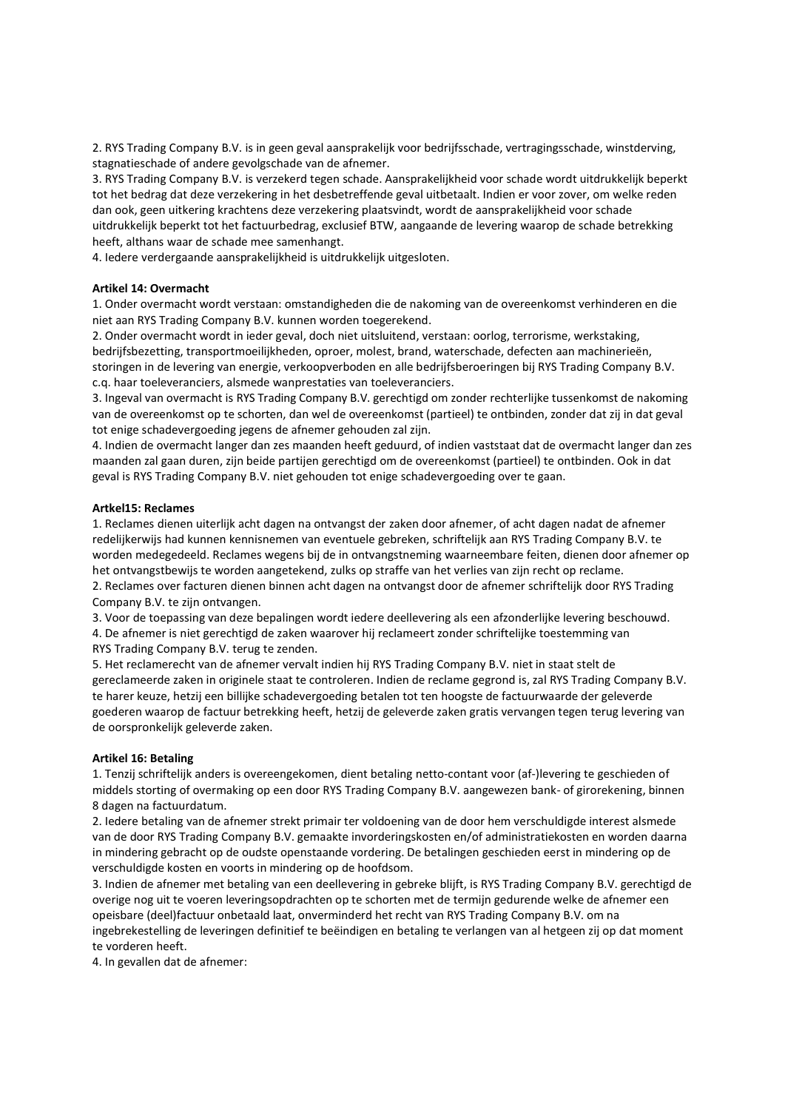2. RYS Trading Company B.V. is in geen geval aansprakelijk voor bedrijfsschade, vertragingsschade, winstderving, stagnatieschade of andere gevolgschade van de afnemer.

3. RYS Trading Company B.V. is verzekerd tegen schade. Aansprakelijkheid voor schade wordt uitdrukkelijk beperkt tot het bedrag dat deze verzekering in het desbetreffende geval uitbetaalt. Indien er voor zover, om welke reden dan ook, geen uitkering krachtens deze verzekering plaatsvindt, wordt de aansprakelijkheid voor schade uitdrukkelijk beperkt tot het factuurbedrag, exclusief BTW, aangaande de levering waarop de schade betrekking heeft, althans waar de schade mee samenhangt.

4. Iedere verdergaande aansprakelijkheid is uitdrukkelijk uitgesloten.

# Artikel 14: Overmacht

1. Onder overmacht wordt verstaan: omstandigheden die de nakoming van de overeenkomst verhinderen en die niet aan RYS Trading Company B.V. kunnen worden toegerekend.

2. Onder overmacht wordt in ieder geval, doch niet uitsluitend, verstaan: oorlog, terrorisme, werkstaking, bedrijfsbezetting, transportmoeilijkheden, oproer, molest, brand, waterschade, defecten aan machinerieën, storingen in de levering van energie, verkoopverboden en alle bedrijfsberoeringen bij RYS Trading Company B.V. c.q. haar toeleveranciers, alsmede wanprestaties van toeleveranciers.

3. Ingeval van overmacht is RYS Trading Company B.V. gerechtigd om zonder rechterlijke tussenkomst de nakoming van de overeenkomst op te schorten, dan wel de overeenkomst (partieel) te ontbinden, zonder dat zij in dat geval tot enige schadevergoeding jegens de afnemer gehouden zal zijn.

4. Indien de overmacht langer dan zes maanden heeft geduurd, of indien vaststaat dat de overmacht langer dan zes maanden zal gaan duren, zijn beide partijen gerechtigd om de overeenkomst (partieel) te ontbinden. Ook in dat geval is RYS Trading Company B.V. niet gehouden tot enige schadevergoeding over te gaan.

# Artkel15: Reclames

1. Reclames dienen uiterlijk acht dagen na ontvangst der zaken door afnemer, of acht dagen nadat de afnemer redelijkerwijs had kunnen kennisnemen van eventuele gebreken, schriftelijk aan RYS Trading Company B.V. te worden medegedeeld. Reclames wegens bij de in ontvangstneming waarneembare feiten, dienen door afnemer op het ontvangstbewijs te worden aangetekend, zulks op straffe van het verlies van zijn recht op reclame. 2. Reclames over facturen dienen binnen acht dagen na ontvangst door de afnemer schriftelijk door RYS Trading Company B.V. te zijn ontvangen.

3. Voor de toepassing van deze bepalingen wordt iedere deellevering als een afzonderlijke levering beschouwd. 4. De afnemer is niet gerechtigd de zaken waarover hij reclameert zonder schriftelijke toestemming van RYS Trading Company B.V. terug te zenden.

5. Het reclamerecht van de afnemer vervalt indien hij RYS Trading Company B.V. niet in staat stelt de gereclameerde zaken in originele staat te controleren. Indien de reclame gegrond is, zal RYS Trading Company B.V. te harer keuze, hetzij een billijke schadevergoeding betalen tot ten hoogste de factuurwaarde der geleverde goederen waarop de factuur betrekking heeft, hetzij de geleverde zaken gratis vervangen tegen terug levering van de oorspronkelijk geleverde zaken.

# Artikel 16: Betaling

1. Tenzij schriftelijk anders is overeengekomen, dient betaling netto-contant voor (af-)levering te geschieden of middels storting of overmaking op een door RYS Trading Company B.V. aangewezen bank- of girorekening, binnen 8 dagen na factuurdatum.

2. Iedere betaling van de afnemer strekt primair ter voldoening van de door hem verschuldigde interest alsmede van de door RYS Trading Company B.V. gemaakte invorderingskosten en/of administratiekosten en worden daarna in mindering gebracht op de oudste openstaande vordering. De betalingen geschieden eerst in mindering op de verschuldigde kosten en voorts in mindering op de hoofdsom.

3. Indien de afnemer met betaling van een deellevering in gebreke blijft, is RYS Trading Company B.V. gerechtigd de overige nog uit te voeren leveringsopdrachten op te schorten met de termijn gedurende welke de afnemer een opeisbare (deel)factuur onbetaald laat, onverminderd het recht van RYS Trading Company B.V. om na ingebrekestelling de leveringen definitief te beëindigen en betaling te verlangen van al hetgeen zij op dat moment te vorderen heeft.

4. In gevallen dat de afnemer: